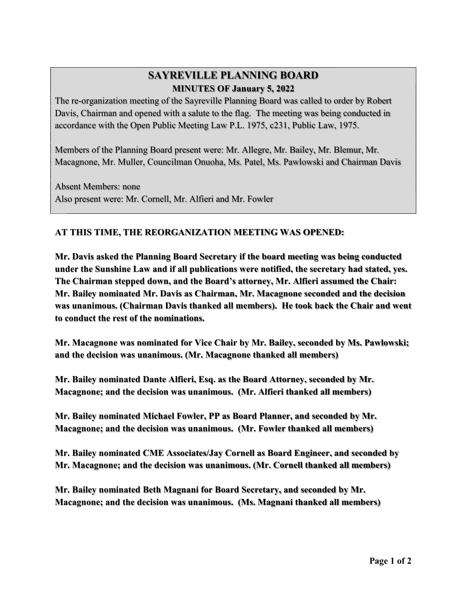## SAYREVILLE PLANNING BOARD MINUTES OF January 5, 2022

The re-organization meeting of the Sayreville Planning Board was called to order by Robert Davis, Chairman and opened with a salute to the flag. The meeting was being conducted in accordance with the Open Public Meeting Law P.L. 1975, c231, Public Law, 1975.

Members of the Planning Board present were: Mr. Allegre, Mr. Bailey, Mr. Blemur, Mr. Macagnone, Mr. Muller, Councilman Onuoha, Ms. Patel, Ms. Pawlowski and Chairman Davis

 Absent Members: none Also present were: Mr. Cornell, Mr. Alfieri and Mr. Fowler

## AT THIS TIME, THE REORGANIZATION MEETING WAS OPENED:

Mr. Davis asked the Planning Board Secretary if the board meeting was being conducted under the Sunshine Law and if all publications were notified, the secretary had stated, yes. The Chairman stepped down, and the Board's attorney, Mr. Alfieri assumed the Chair: Mr. Bailey nominated Mr. Davis as Chairman, Mr. Macagnone seconded and the decision was unanimous. (Chairman Davis thanked all members). He took back the Chair and went to conduct the rest of the nominations.

Mr. Macagnone was nominated for Vice Chair by Mr. Bailey, seconded by Ms. Pawlowski; and the decision was unanimous. (Mr. Macagnone thanked all members)

Mr. Bailey nominated Dante Alfieri, Esq. as the Board Attorney, seconded by Mr. Macagnone; and the decision was unanimous. (Mr. Alfieri thanked all members)

Mr. Bailey nominated Michael Fowler, PP as Board Planner, and seconded by Mr. Macagnone; and the decision was unanimous. (Mr. Fowler thanked all members)

Mr. Bailey nominated CME Associates/Jay Cornell as Board Engineer, and seconded by Mr. Macagnone; and the decision was unanimous. (Mr. Cornell thanked all members)

Mr. Bailey nominated Beth Magnani for Board Secretary, and seconded by Mr. Macagnone; and the decision was unanimous. (Ms. Magnani thanked all members)